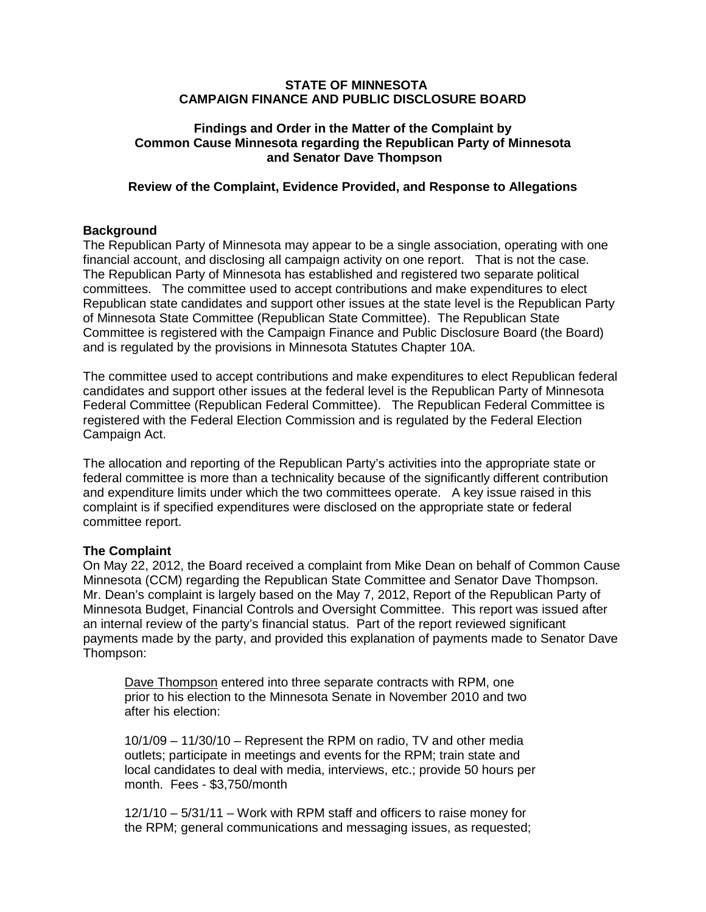#### **STATE OF MINNESOTA CAMPAIGN FINANCE AND PUBLIC DISCLOSURE BOARD**

### **Findings and Order in the Matter of the Complaint by Common Cause Minnesota regarding the Republican Party of Minnesota and Senator Dave Thompson**

### **Review of the Complaint, Evidence Provided, and Response to Allegations**

### **Background**

The Republican Party of Minnesota may appear to be a single association, operating with one financial account, and disclosing all campaign activity on one report. That is not the case. The Republican Party of Minnesota has established and registered two separate political committees. The committee used to accept contributions and make expenditures to elect Republican state candidates and support other issues at the state level is the Republican Party of Minnesota State Committee (Republican State Committee). The Republican State Committee is registered with the Campaign Finance and Public Disclosure Board (the Board) and is regulated by the provisions in Minnesota Statutes Chapter 10A.

The committee used to accept contributions and make expenditures to elect Republican federal candidates and support other issues at the federal level is the Republican Party of Minnesota Federal Committee (Republican Federal Committee). The Republican Federal Committee is registered with the Federal Election Commission and is regulated by the Federal Election Campaign Act.

The allocation and reporting of the Republican Party's activities into the appropriate state or federal committee is more than a technicality because of the significantly different contribution and expenditure limits under which the two committees operate. A key issue raised in this complaint is if specified expenditures were disclosed on the appropriate state or federal committee report.

#### **The Complaint**

On May 22, 2012, the Board received a complaint from Mike Dean on behalf of Common Cause Minnesota (CCM) regarding the Republican State Committee and Senator Dave Thompson. Mr. Dean's complaint is largely based on the May 7, 2012, Report of the Republican Party of Minnesota Budget, Financial Controls and Oversight Committee. This report was issued after an internal review of the party's financial status. Part of the report reviewed significant payments made by the party, and provided this explanation of payments made to Senator Dave Thompson:

Dave Thompson entered into three separate contracts with RPM, one prior to his election to the Minnesota Senate in November 2010 and two after his election:

10/1/09 – 11/30/10 – Represent the RPM on radio, TV and other media outlets; participate in meetings and events for the RPM; train state and local candidates to deal with media, interviews, etc.; provide 50 hours per month. Fees - \$3,750/month

12/1/10 – 5/31/11 – Work with RPM staff and officers to raise money for the RPM; general communications and messaging issues, as requested;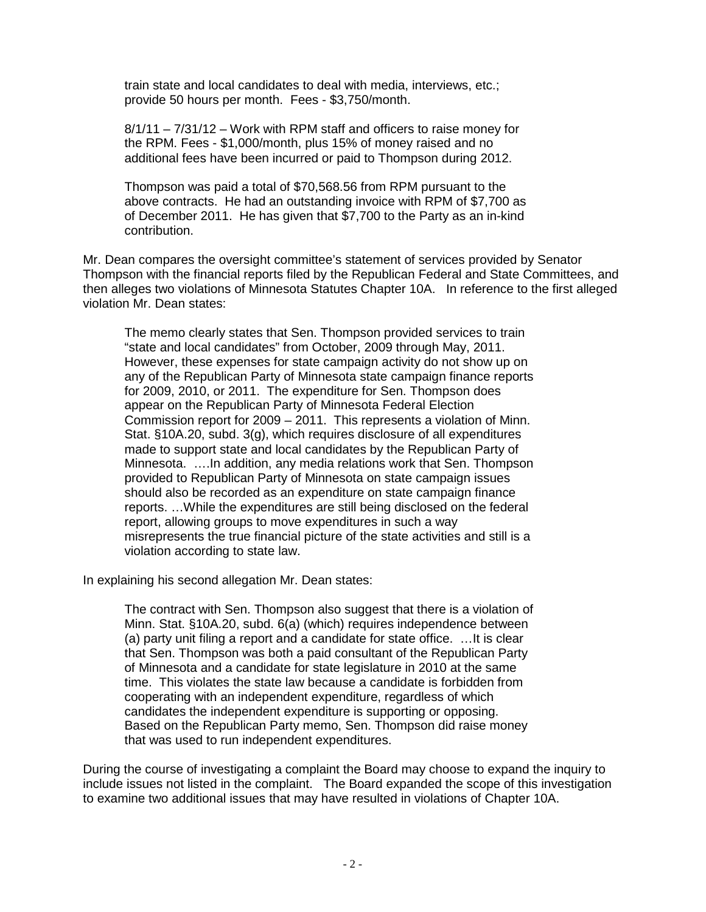train state and local candidates to deal with media, interviews, etc.; provide 50 hours per month. Fees - \$3,750/month.

8/1/11 – 7/31/12 – Work with RPM staff and officers to raise money for the RPM. Fees - \$1,000/month, plus 15% of money raised and no additional fees have been incurred or paid to Thompson during 2012.

Thompson was paid a total of \$70,568.56 from RPM pursuant to the above contracts. He had an outstanding invoice with RPM of \$7,700 as of December 2011. He has given that \$7,700 to the Party as an in-kind contribution.

Mr. Dean compares the oversight committee's statement of services provided by Senator Thompson with the financial reports filed by the Republican Federal and State Committees, and then alleges two violations of Minnesota Statutes Chapter 10A. In reference to the first alleged violation Mr. Dean states:

The memo clearly states that Sen. Thompson provided services to train "state and local candidates" from October, 2009 through May, 2011. However, these expenses for state campaign activity do not show up on any of the Republican Party of Minnesota state campaign finance reports for 2009, 2010, or 2011. The expenditure for Sen. Thompson does appear on the Republican Party of Minnesota Federal Election Commission report for 2009 – 2011. This represents a violation of Minn. Stat. §10A.20, subd. 3(g), which requires disclosure of all expenditures made to support state and local candidates by the Republican Party of Minnesota. ….In addition, any media relations work that Sen. Thompson provided to Republican Party of Minnesota on state campaign issues should also be recorded as an expenditure on state campaign finance reports. …While the expenditures are still being disclosed on the federal report, allowing groups to move expenditures in such a way misrepresents the true financial picture of the state activities and still is a violation according to state law.

In explaining his second allegation Mr. Dean states:

The contract with Sen. Thompson also suggest that there is a violation of Minn. Stat. §10A.20, subd. 6(a) (which) requires independence between (a) party unit filing a report and a candidate for state office. …It is clear that Sen. Thompson was both a paid consultant of the Republican Party of Minnesota and a candidate for state legislature in 2010 at the same time. This violates the state law because a candidate is forbidden from cooperating with an independent expenditure, regardless of which candidates the independent expenditure is supporting or opposing. Based on the Republican Party memo, Sen. Thompson did raise money that was used to run independent expenditures.

During the course of investigating a complaint the Board may choose to expand the inquiry to include issues not listed in the complaint. The Board expanded the scope of this investigation to examine two additional issues that may have resulted in violations of Chapter 10A.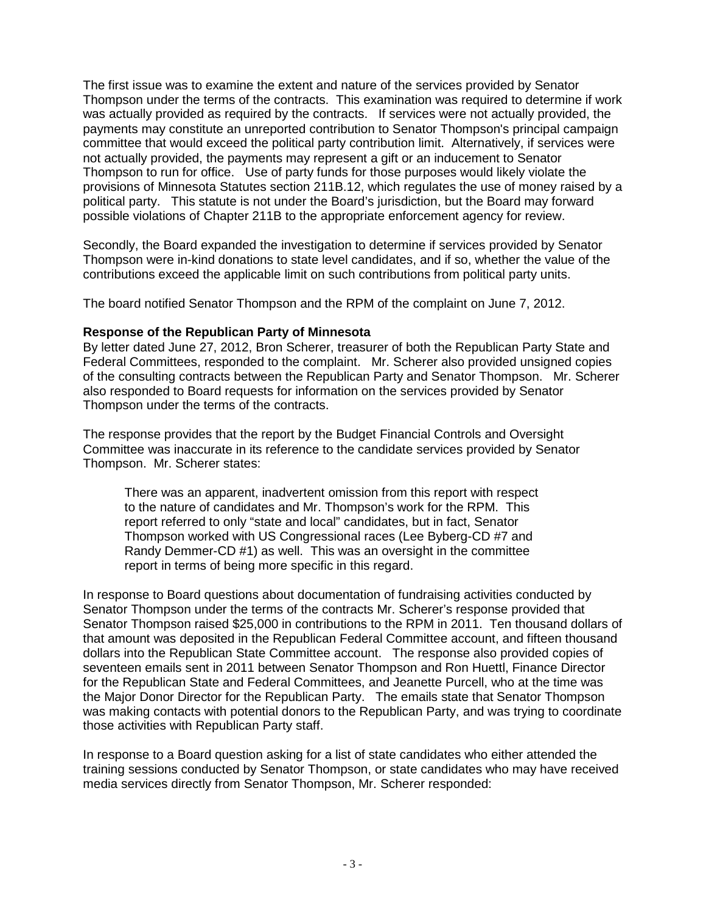The first issue was to examine the extent and nature of the services provided by Senator Thompson under the terms of the contracts. This examination was required to determine if work was actually provided as required by the contracts. If services were not actually provided, the payments may constitute an unreported contribution to Senator Thompson's principal campaign committee that would exceed the political party contribution limit. Alternatively, if services were not actually provided, the payments may represent a gift or an inducement to Senator Thompson to run for office. Use of party funds for those purposes would likely violate the provisions of Minnesota Statutes section 211B.12, which regulates the use of money raised by a political party. This statute is not under the Board's jurisdiction, but the Board may forward possible violations of Chapter 211B to the appropriate enforcement agency for review.

Secondly, the Board expanded the investigation to determine if services provided by Senator Thompson were in-kind donations to state level candidates, and if so, whether the value of the contributions exceed the applicable limit on such contributions from political party units.

The board notified Senator Thompson and the RPM of the complaint on June 7, 2012.

### **Response of the Republican Party of Minnesota**

By letter dated June 27, 2012, Bron Scherer, treasurer of both the Republican Party State and Federal Committees, responded to the complaint. Mr. Scherer also provided unsigned copies of the consulting contracts between the Republican Party and Senator Thompson. Mr. Scherer also responded to Board requests for information on the services provided by Senator Thompson under the terms of the contracts.

The response provides that the report by the Budget Financial Controls and Oversight Committee was inaccurate in its reference to the candidate services provided by Senator Thompson. Mr. Scherer states:

There was an apparent, inadvertent omission from this report with respect to the nature of candidates and Mr. Thompson's work for the RPM. This report referred to only "state and local" candidates, but in fact, Senator Thompson worked with US Congressional races (Lee Byberg-CD #7 and Randy Demmer-CD #1) as well. This was an oversight in the committee report in terms of being more specific in this regard.

In response to Board questions about documentation of fundraising activities conducted by Senator Thompson under the terms of the contracts Mr. Scherer's response provided that Senator Thompson raised \$25,000 in contributions to the RPM in 2011. Ten thousand dollars of that amount was deposited in the Republican Federal Committee account, and fifteen thousand dollars into the Republican State Committee account. The response also provided copies of seventeen emails sent in 2011 between Senator Thompson and Ron Huettl, Finance Director for the Republican State and Federal Committees, and Jeanette Purcell, who at the time was the Major Donor Director for the Republican Party. The emails state that Senator Thompson was making contacts with potential donors to the Republican Party, and was trying to coordinate those activities with Republican Party staff.

In response to a Board question asking for a list of state candidates who either attended the training sessions conducted by Senator Thompson, or state candidates who may have received media services directly from Senator Thompson, Mr. Scherer responded: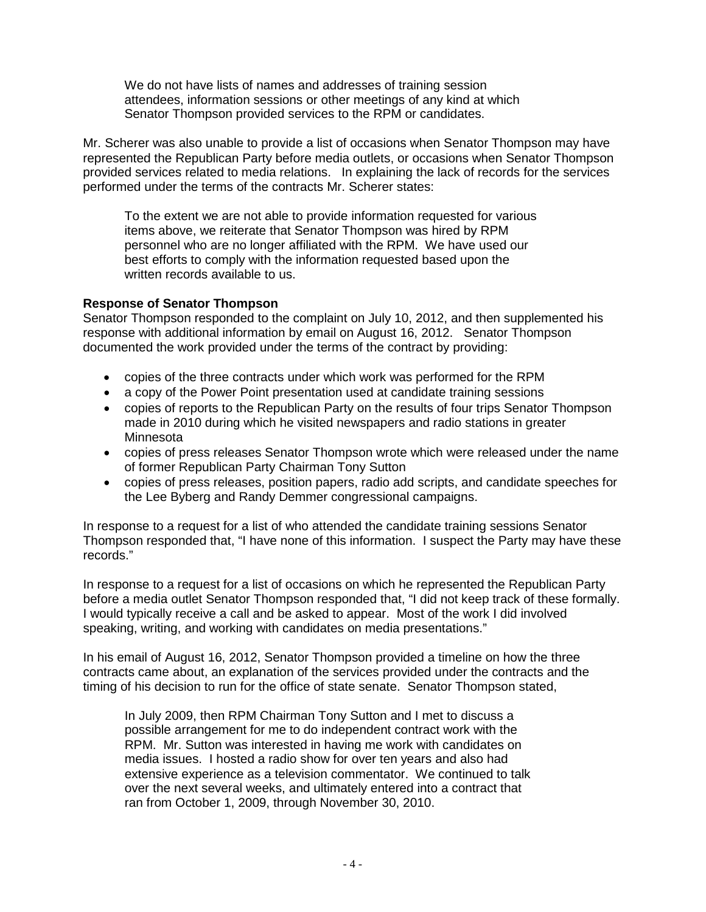We do not have lists of names and addresses of training session attendees, information sessions or other meetings of any kind at which Senator Thompson provided services to the RPM or candidates.

Mr. Scherer was also unable to provide a list of occasions when Senator Thompson may have represented the Republican Party before media outlets, or occasions when Senator Thompson provided services related to media relations. In explaining the lack of records for the services performed under the terms of the contracts Mr. Scherer states:

To the extent we are not able to provide information requested for various items above, we reiterate that Senator Thompson was hired by RPM personnel who are no longer affiliated with the RPM. We have used our best efforts to comply with the information requested based upon the written records available to us.

# **Response of Senator Thompson**

Senator Thompson responded to the complaint on July 10, 2012, and then supplemented his response with additional information by email on August 16, 2012. Senator Thompson documented the work provided under the terms of the contract by providing:

- copies of the three contracts under which work was performed for the RPM
- a copy of the Power Point presentation used at candidate training sessions
- copies of reports to the Republican Party on the results of four trips Senator Thompson made in 2010 during which he visited newspapers and radio stations in greater **Minnesota**
- copies of press releases Senator Thompson wrote which were released under the name of former Republican Party Chairman Tony Sutton
- copies of press releases, position papers, radio add scripts, and candidate speeches for the Lee Byberg and Randy Demmer congressional campaigns.

In response to a request for a list of who attended the candidate training sessions Senator Thompson responded that, "I have none of this information. I suspect the Party may have these records."

In response to a request for a list of occasions on which he represented the Republican Party before a media outlet Senator Thompson responded that, "I did not keep track of these formally. I would typically receive a call and be asked to appear. Most of the work I did involved speaking, writing, and working with candidates on media presentations."

In his email of August 16, 2012, Senator Thompson provided a timeline on how the three contracts came about, an explanation of the services provided under the contracts and the timing of his decision to run for the office of state senate. Senator Thompson stated,

In July 2009, then RPM Chairman Tony Sutton and I met to discuss a possible arrangement for me to do independent contract work with the RPM. Mr. Sutton was interested in having me work with candidates on media issues. I hosted a radio show for over ten years and also had extensive experience as a television commentator. We continued to talk over the next several weeks, and ultimately entered into a contract that ran from October 1, 2009, through November 30, 2010.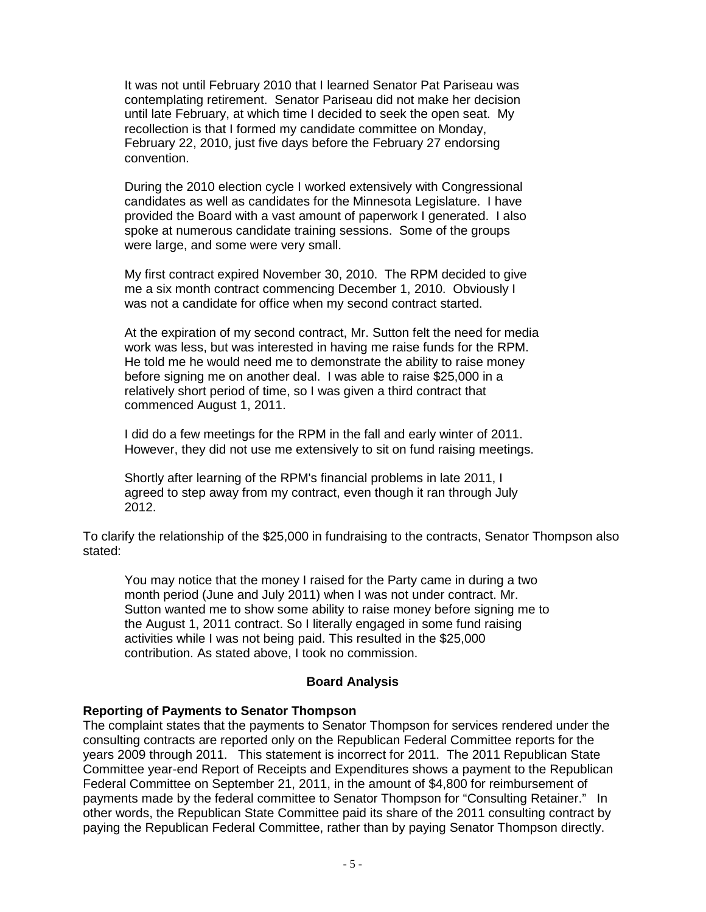It was not until February 2010 that I learned Senator Pat Pariseau was contemplating retirement. Senator Pariseau did not make her decision until late February, at which time I decided to seek the open seat. My recollection is that I formed my candidate committee on Monday, February 22, 2010, just five days before the February 27 endorsing convention.

During the 2010 election cycle I worked extensively with Congressional candidates as well as candidates for the Minnesota Legislature. I have provided the Board with a vast amount of paperwork I generated. I also spoke at numerous candidate training sessions. Some of the groups were large, and some were very small.

My first contract expired November 30, 2010. The RPM decided to give me a six month contract commencing December 1, 2010. Obviously I was not a candidate for office when my second contract started.

At the expiration of my second contract, Mr. Sutton felt the need for media work was less, but was interested in having me raise funds for the RPM. He told me he would need me to demonstrate the ability to raise money before signing me on another deal. I was able to raise \$25,000 in a relatively short period of time, so I was given a third contract that commenced August 1, 2011.

I did do a few meetings for the RPM in the fall and early winter of 2011. However, they did not use me extensively to sit on fund raising meetings.

Shortly after learning of the RPM's financial problems in late 2011, I agreed to step away from my contract, even though it ran through July 2012.

To clarify the relationship of the \$25,000 in fundraising to the contracts, Senator Thompson also stated:

You may notice that the money I raised for the Party came in during a two month period (June and July 2011) when I was not under contract. Mr. Sutton wanted me to show some ability to raise money before signing me to the August 1, 2011 contract. So I literally engaged in some fund raising activities while I was not being paid. This resulted in the \$25,000 contribution. As stated above, I took no commission.

# **Board Analysis**

# **Reporting of Payments to Senator Thompson**

The complaint states that the payments to Senator Thompson for services rendered under the consulting contracts are reported only on the Republican Federal Committee reports for the years 2009 through 2011. This statement is incorrect for 2011. The 2011 Republican State Committee year-end Report of Receipts and Expenditures shows a payment to the Republican Federal Committee on September 21, 2011, in the amount of \$4,800 for reimbursement of payments made by the federal committee to Senator Thompson for "Consulting Retainer." In other words, the Republican State Committee paid its share of the 2011 consulting contract by paying the Republican Federal Committee, rather than by paying Senator Thompson directly.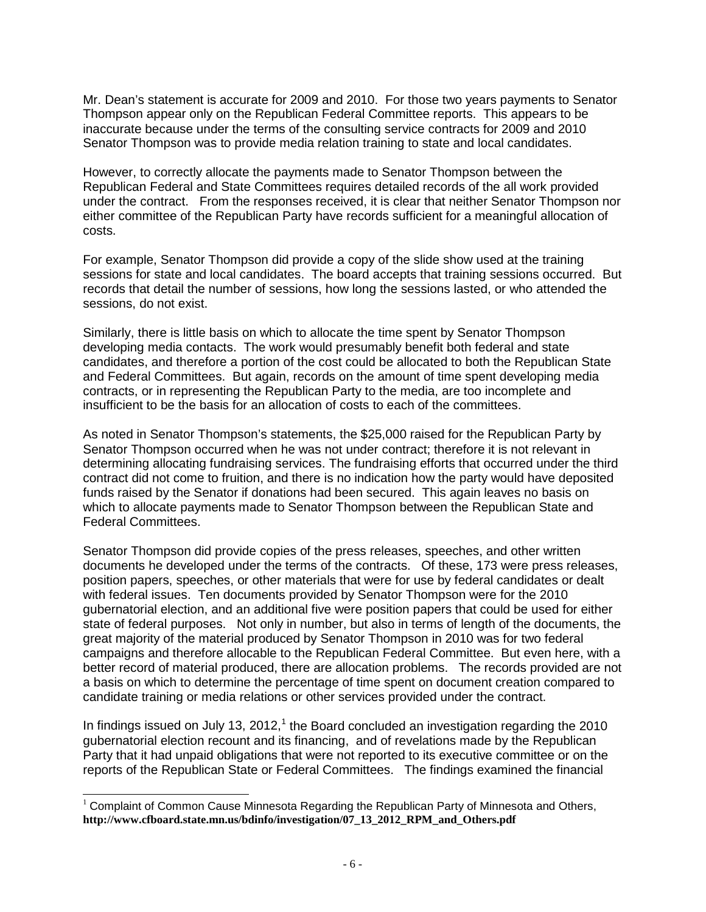Mr. Dean's statement is accurate for 2009 and 2010. For those two years payments to Senator Thompson appear only on the Republican Federal Committee reports. This appears to be inaccurate because under the terms of the consulting service contracts for 2009 and 2010 Senator Thompson was to provide media relation training to state and local candidates.

However, to correctly allocate the payments made to Senator Thompson between the Republican Federal and State Committees requires detailed records of the all work provided under the contract. From the responses received, it is clear that neither Senator Thompson nor either committee of the Republican Party have records sufficient for a meaningful allocation of costs.

For example, Senator Thompson did provide a copy of the slide show used at the training sessions for state and local candidates. The board accepts that training sessions occurred. But records that detail the number of sessions, how long the sessions lasted, or who attended the sessions, do not exist.

Similarly, there is little basis on which to allocate the time spent by Senator Thompson developing media contacts. The work would presumably benefit both federal and state candidates, and therefore a portion of the cost could be allocated to both the Republican State and Federal Committees. But again, records on the amount of time spent developing media contracts, or in representing the Republican Party to the media, are too incomplete and insufficient to be the basis for an allocation of costs to each of the committees.

As noted in Senator Thompson's statements, the \$25,000 raised for the Republican Party by Senator Thompson occurred when he was not under contract; therefore it is not relevant in determining allocating fundraising services. The fundraising efforts that occurred under the third contract did not come to fruition, and there is no indication how the party would have deposited funds raised by the Senator if donations had been secured. This again leaves no basis on which to allocate payments made to Senator Thompson between the Republican State and Federal Committees.

Senator Thompson did provide copies of the press releases, speeches, and other written documents he developed under the terms of the contracts. Of these, 173 were press releases, position papers, speeches, or other materials that were for use by federal candidates or dealt with federal issues. Ten documents provided by Senator Thompson were for the 2010 gubernatorial election, and an additional five were position papers that could be used for either state of federal purposes. Not only in number, but also in terms of length of the documents, the great majority of the material produced by Senator Thompson in 2010 was for two federal campaigns and therefore allocable to the Republican Federal Committee. But even here, with a better record of material produced, there are allocation problems. The records provided are not a basis on which to determine the percentage of time spent on document creation compared to candidate training or media relations or other services provided under the contract.

In findings issued on July [1](#page-5-0)3,  $2012<sup>1</sup>$  the Board concluded an investigation regarding the 2010 gubernatorial election recount and its financing, and of revelations made by the Republican Party that it had unpaid obligations that were not reported to its executive committee or on the reports of the Republican State or Federal Committees. The findings examined the financial

<span id="page-5-0"></span><sup>&</sup>lt;sup>1</sup> Complaint of Common Cause Minnesota Regarding the Republican Party of Minnesota and Others, **[http://www.cfboard.state.mn.us/bdinfo/investigation/07\\_13\\_2012\\_RPM\\_and\\_Others.pdf](http://www.cfboard.state.mn.us/bdinfo/investigation/07_13_2012_RPM_and_Others.pdf)**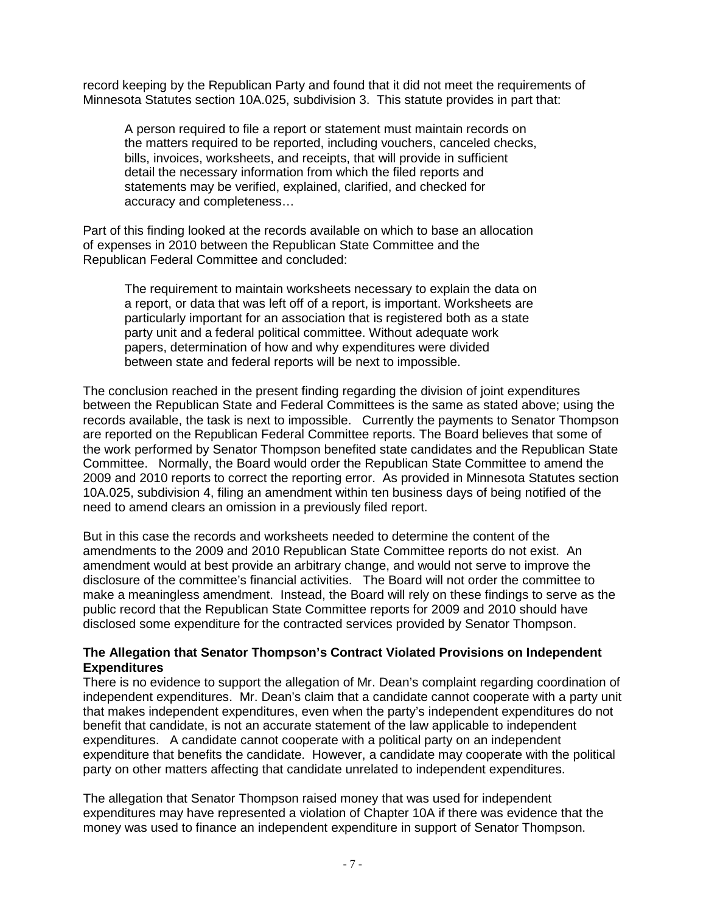record keeping by the Republican Party and found that it did not meet the requirements of Minnesota Statutes section 10A.025, subdivision 3. This statute provides in part that:

A person required to file a report or statement must maintain records on the matters required to be reported, including vouchers, canceled checks, bills, invoices, worksheets, and receipts, that will provide in sufficient detail the necessary information from which the filed reports and statements may be verified, explained, clarified, and checked for accuracy and completeness…

Part of this finding looked at the records available on which to base an allocation of expenses in 2010 between the Republican State Committee and the Republican Federal Committee and concluded:

The requirement to maintain worksheets necessary to explain the data on a report, or data that was left off of a report, is important. Worksheets are particularly important for an association that is registered both as a state party unit and a federal political committee. Without adequate work papers, determination of how and why expenditures were divided between state and federal reports will be next to impossible.

The conclusion reached in the present finding regarding the division of joint expenditures between the Republican State and Federal Committees is the same as stated above; using the records available, the task is next to impossible. Currently the payments to Senator Thompson are reported on the Republican Federal Committee reports. The Board believes that some of the work performed by Senator Thompson benefited state candidates and the Republican State Committee. Normally, the Board would order the Republican State Committee to amend the 2009 and 2010 reports to correct the reporting error. As provided in Minnesota Statutes section 10A.025, subdivision 4, filing an amendment within ten business days of being notified of the need to amend clears an omission in a previously filed report.

But in this case the records and worksheets needed to determine the content of the amendments to the 2009 and 2010 Republican State Committee reports do not exist. An amendment would at best provide an arbitrary change, and would not serve to improve the disclosure of the committee's financial activities. The Board will not order the committee to make a meaningless amendment. Instead, the Board will rely on these findings to serve as the public record that the Republican State Committee reports for 2009 and 2010 should have disclosed some expenditure for the contracted services provided by Senator Thompson.

### **The Allegation that Senator Thompson's Contract Violated Provisions on Independent Expenditures**

There is no evidence to support the allegation of Mr. Dean's complaint regarding coordination of independent expenditures. Mr. Dean's claim that a candidate cannot cooperate with a party unit that makes independent expenditures, even when the party's independent expenditures do not benefit that candidate, is not an accurate statement of the law applicable to independent expenditures. A candidate cannot cooperate with a political party on an independent expenditure that benefits the candidate. However, a candidate may cooperate with the political party on other matters affecting that candidate unrelated to independent expenditures.

The allegation that Senator Thompson raised money that was used for independent expenditures may have represented a violation of Chapter 10A if there was evidence that the money was used to finance an independent expenditure in support of Senator Thompson.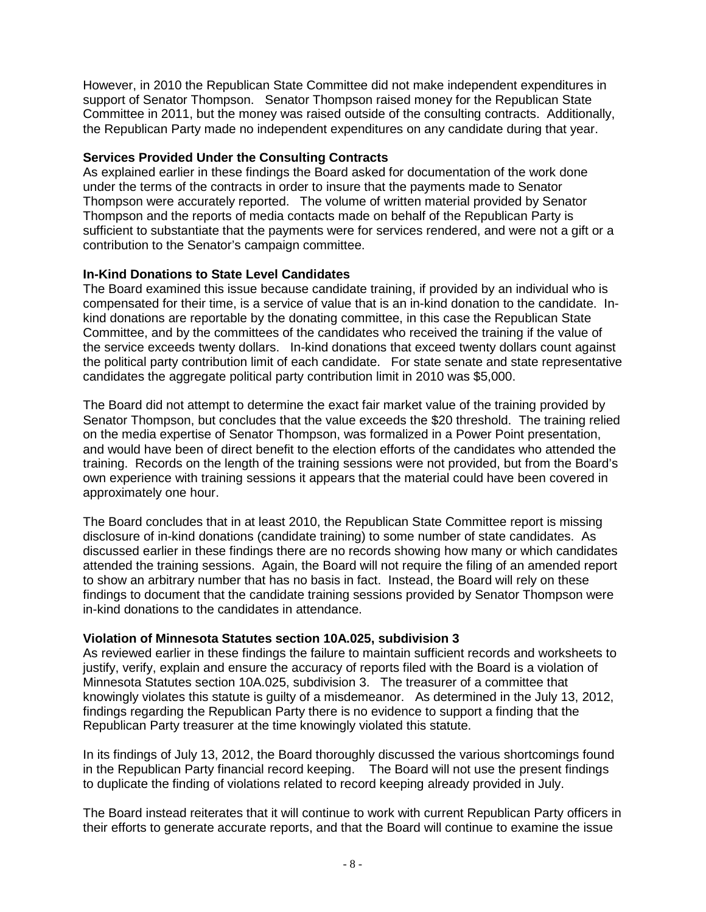However, in 2010 the Republican State Committee did not make independent expenditures in support of Senator Thompson. Senator Thompson raised money for the Republican State Committee in 2011, but the money was raised outside of the consulting contracts. Additionally, the Republican Party made no independent expenditures on any candidate during that year.

### **Services Provided Under the Consulting Contracts**

As explained earlier in these findings the Board asked for documentation of the work done under the terms of the contracts in order to insure that the payments made to Senator Thompson were accurately reported. The volume of written material provided by Senator Thompson and the reports of media contacts made on behalf of the Republican Party is sufficient to substantiate that the payments were for services rendered, and were not a gift or a contribution to the Senator's campaign committee.

# **In-Kind Donations to State Level Candidates**

The Board examined this issue because candidate training, if provided by an individual who is compensated for their time, is a service of value that is an in-kind donation to the candidate. Inkind donations are reportable by the donating committee, in this case the Republican State Committee, and by the committees of the candidates who received the training if the value of the service exceeds twenty dollars. In-kind donations that exceed twenty dollars count against the political party contribution limit of each candidate. For state senate and state representative candidates the aggregate political party contribution limit in 2010 was \$5,000.

The Board did not attempt to determine the exact fair market value of the training provided by Senator Thompson, but concludes that the value exceeds the \$20 threshold. The training relied on the media expertise of Senator Thompson, was formalized in a Power Point presentation, and would have been of direct benefit to the election efforts of the candidates who attended the training. Records on the length of the training sessions were not provided, but from the Board's own experience with training sessions it appears that the material could have been covered in approximately one hour.

The Board concludes that in at least 2010, the Republican State Committee report is missing disclosure of in-kind donations (candidate training) to some number of state candidates. As discussed earlier in these findings there are no records showing how many or which candidates attended the training sessions. Again, the Board will not require the filing of an amended report to show an arbitrary number that has no basis in fact. Instead, the Board will rely on these findings to document that the candidate training sessions provided by Senator Thompson were in-kind donations to the candidates in attendance.

#### **Violation of Minnesota Statutes section 10A.025, subdivision 3**

As reviewed earlier in these findings the failure to maintain sufficient records and worksheets to justify, verify, explain and ensure the accuracy of reports filed with the Board is a violation of Minnesota Statutes section 10A.025, subdivision 3. The treasurer of a committee that knowingly violates this statute is guilty of a misdemeanor. As determined in the July 13, 2012, findings regarding the Republican Party there is no evidence to support a finding that the Republican Party treasurer at the time knowingly violated this statute.

In its findings of July 13, 2012, the Board thoroughly discussed the various shortcomings found in the Republican Party financial record keeping. The Board will not use the present findings to duplicate the finding of violations related to record keeping already provided in July.

The Board instead reiterates that it will continue to work with current Republican Party officers in their efforts to generate accurate reports, and that the Board will continue to examine the issue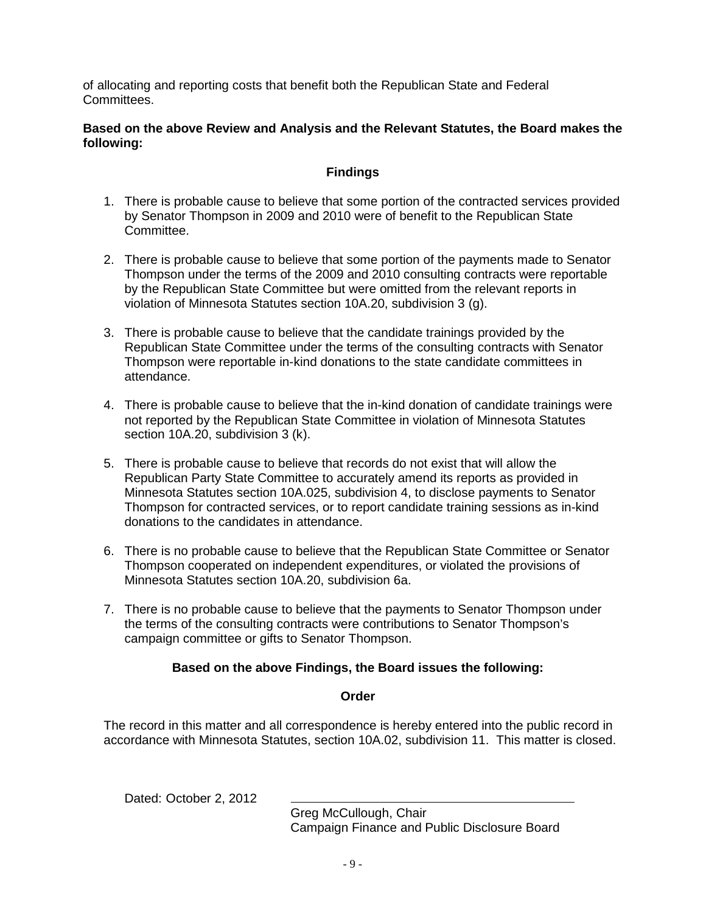of allocating and reporting costs that benefit both the Republican State and Federal Committees.

## **Based on the above Review and Analysis and the Relevant Statutes, the Board makes the following:**

# **Findings**

- 1. There is probable cause to believe that some portion of the contracted services provided by Senator Thompson in 2009 and 2010 were of benefit to the Republican State Committee.
- 2. There is probable cause to believe that some portion of the payments made to Senator Thompson under the terms of the 2009 and 2010 consulting contracts were reportable by the Republican State Committee but were omitted from the relevant reports in violation of Minnesota Statutes section 10A.20, subdivision 3 (g).
- 3. There is probable cause to believe that the candidate trainings provided by the Republican State Committee under the terms of the consulting contracts with Senator Thompson were reportable in-kind donations to the state candidate committees in attendance.
- 4. There is probable cause to believe that the in-kind donation of candidate trainings were not reported by the Republican State Committee in violation of Minnesota Statutes section 10A.20, subdivision 3 (k).
- 5. There is probable cause to believe that records do not exist that will allow the Republican Party State Committee to accurately amend its reports as provided in Minnesota Statutes section 10A.025, subdivision 4, to disclose payments to Senator Thompson for contracted services, or to report candidate training sessions as in-kind donations to the candidates in attendance.
- 6. There is no probable cause to believe that the Republican State Committee or Senator Thompson cooperated on independent expenditures, or violated the provisions of Minnesota Statutes section 10A.20, subdivision 6a.
- 7. There is no probable cause to believe that the payments to Senator Thompson under the terms of the consulting contracts were contributions to Senator Thompson's campaign committee or gifts to Senator Thompson.

# **Based on the above Findings, the Board issues the following:**

# **Order**

The record in this matter and all correspondence is hereby entered into the public record in accordance with Minnesota Statutes, section 10A.02, subdivision 11. This matter is closed.

Dated: October 2, 2012

Greg McCullough, Chair Campaign Finance and Public Disclosure Board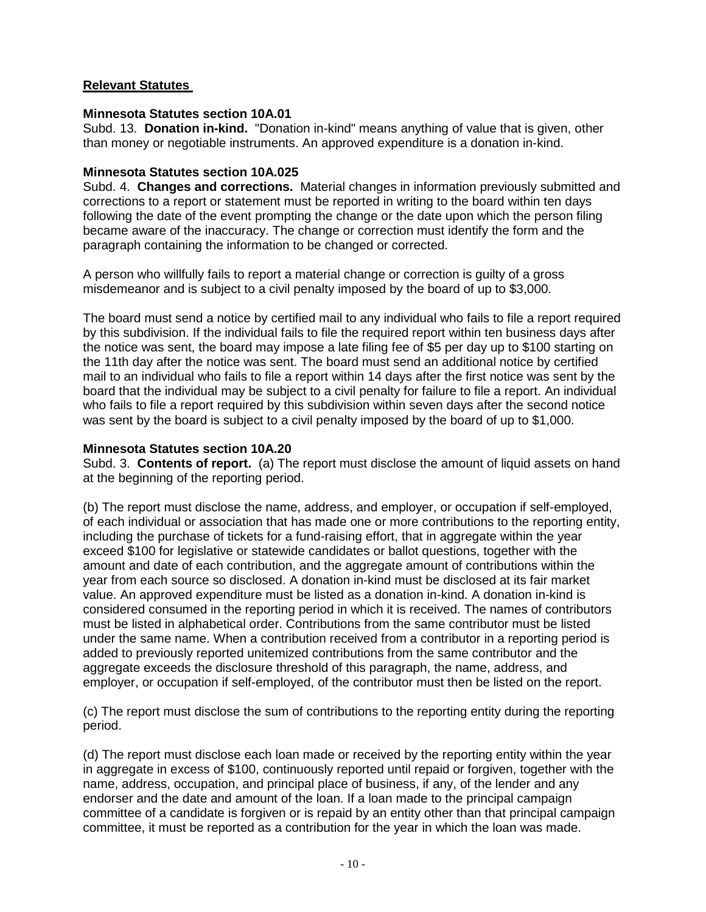# **Relevant Statutes**

# **Minnesota Statutes section 10A.01**

Subd. 13. **Donation in-kind.** "Donation in-kind" means anything of value that is given, other than money or negotiable instruments. An approved expenditure is a donation in-kind.

## **Minnesota Statutes section 10A.025**

Subd. 4. **Changes and corrections.** Material changes in information previously submitted and corrections to a report or statement must be reported in writing to the board within ten days following the date of the event prompting the change or the date upon which the person filing became aware of the inaccuracy. The change or correction must identify the form and the paragraph containing the information to be changed or corrected.

A person who willfully fails to report a material change or correction is guilty of a gross misdemeanor and is subject to a civil penalty imposed by the board of up to \$3,000.

The board must send a notice by certified mail to any individual who fails to file a report required by this subdivision. If the individual fails to file the required report within ten business days after the notice was sent, the board may impose a late filing fee of \$5 per day up to \$100 starting on the 11th day after the notice was sent. The board must send an additional notice by certified mail to an individual who fails to file a report within 14 days after the first notice was sent by the board that the individual may be subject to a civil penalty for failure to file a report. An individual who fails to file a report required by this subdivision within seven days after the second notice was sent by the board is subject to a civil penalty imposed by the board of up to \$1,000.

# **Minnesota Statutes section 10A.20**

Subd. 3. **Contents of report.** (a) The report must disclose the amount of liquid assets on hand at the beginning of the reporting period.

(b) The report must disclose the name, address, and employer, or occupation if self-employed, of each individual or association that has made one or more contributions to the reporting entity, including the purchase of tickets for a fund-raising effort, that in aggregate within the year exceed \$100 for legislative or statewide candidates or ballot questions, together with the amount and date of each contribution, and the aggregate amount of contributions within the year from each source so disclosed. A donation in-kind must be disclosed at its fair market value. An approved expenditure must be listed as a donation in-kind. A donation in-kind is considered consumed in the reporting period in which it is received. The names of contributors must be listed in alphabetical order. Contributions from the same contributor must be listed under the same name. When a contribution received from a contributor in a reporting period is added to previously reported unitemized contributions from the same contributor and the aggregate exceeds the disclosure threshold of this paragraph, the name, address, and employer, or occupation if self-employed, of the contributor must then be listed on the report.

(c) The report must disclose the sum of contributions to the reporting entity during the reporting period.

(d) The report must disclose each loan made or received by the reporting entity within the year in aggregate in excess of \$100, continuously reported until repaid or forgiven, together with the name, address, occupation, and principal place of business, if any, of the lender and any endorser and the date and amount of the loan. If a loan made to the principal campaign committee of a candidate is forgiven or is repaid by an entity other than that principal campaign committee, it must be reported as a contribution for the year in which the loan was made.